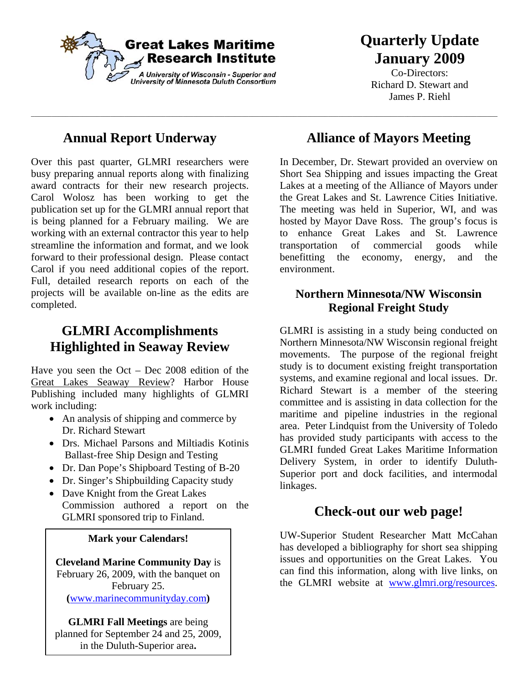

 $\_$  , and the set of the set of the set of the set of the set of the set of the set of the set of the set of the set of the set of the set of the set of the set of the set of the set of the set of the set of the set of th

# **Quarterly Update January 2009**

Co-Directors: Richard D. Stewart and James P. Riehl

### **Annual Report Underway**

Over this past quarter, GLMRI researchers were busy preparing annual reports along with finalizing award contracts for their new research projects. Carol Wolosz has been working to get the publication set up for the GLMRI annual report that is being planned for a February mailing. We are working with an external contractor this year to help streamline the information and format, and we look forward to their professional design. Please contact Carol if you need additional copies of the report. Full, detailed research reports on each of the projects will be available on-line as the edits are completed.

### **GLMRI Accomplishments Highlighted in Seaway Review**

Have you seen the Oct – Dec 2008 edition of the Great Lakes Seaway Review? Harbor House Publishing included many highlights of GLMRI work including:

- An analysis of shipping and commerce by Dr. Richard Stewart
- Drs. Michael Parsons and Miltiadis Kotinis Ballast-free Ship Design and Testing
- Dr. Dan Pope's Shipboard Testing of B-20
- Dr. Singer's Shipbuilding Capacity study
- Dave Knight from the Great Lakes Commission authored a report on the GLMRI sponsored trip to Finland.

#### **Mark your Calendars!**

**Cleveland Marine Community Day** is February 26, 2009, with the banquet on February 25. **(**www.marinecommunityday.com**)** 

**GLMRI Fall Meetings** are being planned for September 24 and 25, 2009, in the Duluth-Superior area**.** 

### **Alliance of Mayors Meeting**

In December, Dr. Stewart provided an overview on Short Sea Shipping and issues impacting the Great Lakes at a meeting of the Alliance of Mayors under the Great Lakes and St. Lawrence Cities Initiative. The meeting was held in Superior, WI, and was hosted by Mayor Dave Ross. The group's focus is to enhance Great Lakes and St. Lawrence transportation of commercial goods while benefitting the economy, energy, and the environment.

#### **Northern Minnesota/NW Wisconsin Regional Freight Study**

GLMRI is assisting in a study being conducted on Northern Minnesota/NW Wisconsin regional freight movements. The purpose of the regional freight study is to document existing freight transportation systems, and examine regional and local issues. Dr. Richard Stewart is a member of the steering committee and is assisting in data collection for the maritime and pipeline industries in the regional area. Peter Lindquist from the University of Toledo has provided study participants with access to the GLMRI funded Great Lakes Maritime Information Delivery System, in order to identify Duluth-Superior port and dock facilities, and intermodal linkages.

#### **Check-out our web page!**

UW-Superior Student Researcher Matt McCahan has developed a bibliography for short sea shipping issues and opportunities on the Great Lakes. You can find this information, along with live links, on the GLMRI website at www.glmri.org/resources.